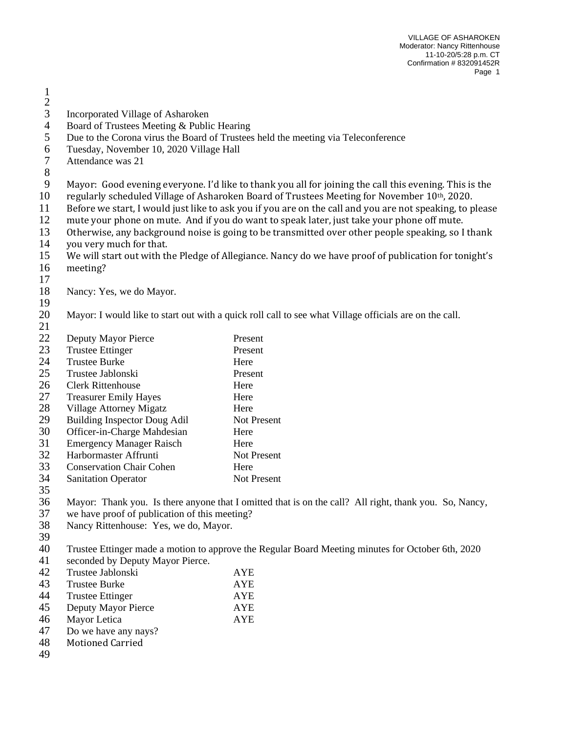- $\frac{2}{3}$ Incorporated Village of Asharoken
- 
- 4 Board of Trustees Meeting & Public Hearing<br>5 Due to the Corona virus the Board of Trustees 5 Due to the Corona virus the Board of Trustees held the meeting via Teleconference<br>6 Tuesday, November 10, 2020 Village Hall
- Tuesday, November 10, 2020 Village Hall
- Attendance was 21
- 

Mayor: Good evening everyone. I'd like to thank you all for joining the call this evening. This is the

- 10 regularly scheduled Village of Asharoken Board of Trustees Meeting for November  $10<sup>th</sup>$ , 2020.
- Before we start, I would just like to ask you if you are on the call and you are not speaking, to please
- mute your phone on mute. And if you do want to speak later, just take your phone off mute.
- Otherwise, any background noise is going to be transmitted over other people speaking, so I thank
- you very much for that.
- We will start out with the Pledge of Allegiance. Nancy do we have proof of publication for tonight's meeting?
- 
- Nancy: Yes, we do Mayor.
- 

 Mayor: I would like to start out with a quick roll call to see what Village officials are on the call. 

| 22 | Deputy Mayor Pierce                 | Present            |
|----|-------------------------------------|--------------------|
| 23 | <b>Trustee Ettinger</b>             | Present            |
| 24 | <b>Trustee Burke</b>                | Here               |
| 25 | Trustee Jablonski                   | Present            |
| 26 | Clerk Rittenhouse                   | Here               |
| 27 | <b>Treasurer Emily Hayes</b>        | Here               |
| 28 | Village Attorney Migatz             | Here               |
| 29 | <b>Building Inspector Doug Adil</b> | <b>Not Present</b> |
| 30 | Officer-in-Charge Mahdesian         | Here               |
| 31 | <b>Emergency Manager Raisch</b>     | Here               |
| 32 | Harbormaster Affrunti               | <b>Not Present</b> |
| 33 | <b>Conservation Chair Cohen</b>     | Here               |
| 34 | <b>Sanitation Operator</b>          | <b>Not Present</b> |
| 35 |                                     |                    |

- Mayor: Thank you. Is there anyone that I omitted that is on the call? All right, thank you. So, Nancy,
- we have proof of publication of this meeting?
- Nancy Rittenhouse: Yes, we do, Mayor.
- 

Trustee Ettinger made a motion to approve the Regular Board Meeting minutes for October 6th, 2020

- seconded by Deputy Mayor Pierce.
- Trustee Jablonski AYE 43 Trustee Burke 14 AYE<br>44 Trustee Ettinger 14 AYE Trustee Ettinger Deputy Mayor Pierce AYE Mayor Letica AYE Do we have any nays? Motioned Carried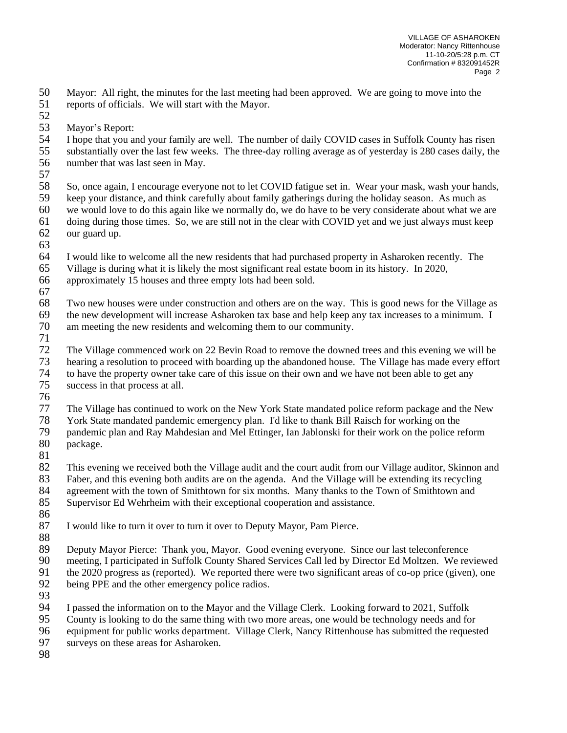Mayor: All right, the minutes for the last meeting had been approved. We are going to move into the reports of officials. We will start with the Mayor.

 Mayor's Report:

I hope that you and your family are well. The number of daily COVID cases in Suffolk County has risen

 substantially over the last few weeks. The three-day rolling average as of yesterday is 280 cases daily, the number that was last seen in May.

 So, once again, I encourage everyone not to let COVID fatigue set in. Wear your mask, wash your hands, keep your distance, and think carefully about family gatherings during the holiday season. As much as we would love to do this again like we normally do, we do have to be very considerate about what we are

- doing during those times. So, we are still not in the clear with COVID yet and we just always must keep our guard up.
- 
- I would like to welcome all the new residents that had purchased property in Asharoken recently. The

Village is during what it is likely the most significant real estate boom in its history. In 2020,

approximately 15 houses and three empty lots had been sold.

 Two new houses were under construction and others are on the way. This is good news for the Village as 69 the new development will increase Asharoken tax base and help keep any tax increases to a minimum. I<br>70 am meeting the new residents and welcoming them to our community.

- am meeting the new residents and welcoming them to our community.
- The Village commenced work on 22 Bevin Road to remove the downed trees and this evening we will be hearing a resolution to proceed with boarding up the abandoned house. The Village has made every effort hearing a resolution to proceed with boarding up the abandoned house. The Village has made every effort to have the property owner take care of this issue on their own and we have not been able to get any success in that process at all.
- 

The Village has continued to work on the New York State mandated police reform package and the New

 York State mandated pandemic emergency plan. I'd like to thank Bill Raisch for working on the pandemic plan and Ray Mahdesian and Mel Ettinger, Ian Jablonski for their work on the police reform package.

This evening we received both the Village audit and the court audit from our Village auditor, Skinnon and

Faber, and this evening both audits are on the agenda. And the Village will be extending its recycling

agreement with the town of Smithtown for six months. Many thanks to the Town of Smithtown and

Supervisor Ed Wehrheim with their exceptional cooperation and assistance.

- 
- I would like to turn it over to turn it over to Deputy Mayor, Pam Pierce.
- 

Deputy Mayor Pierce: Thank you, Mayor. Good evening everyone. Since our last teleconference

meeting, I participated in Suffolk County Shared Services Call led by Director Ed Moltzen. We reviewed

- the 2020 progress as (reported). We reported there were two significant areas of co-op price (given), one
- being PPE and the other emergency police radios.
- 

I passed the information on to the Mayor and the Village Clerk. Looking forward to 2021, Suffolk

County is looking to do the same thing with two more areas, one would be technology needs and for

- equipment for public works department. Village Clerk, Nancy Rittenhouse has submitted the requested
- surveys on these areas for Asharoken.
-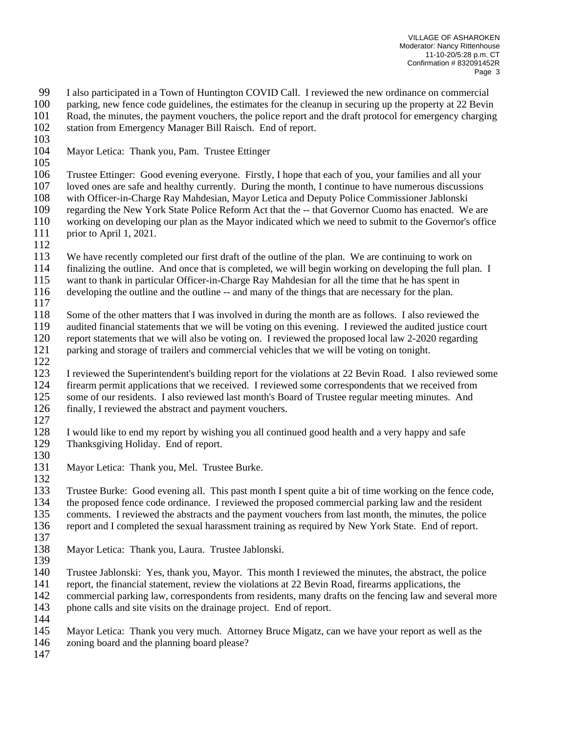99 I also participated in a Town of Huntington COVID Call. I reviewed the new ordinance on commercial<br>100 narking, new fence code guidelines, the estimates for the cleanup in securing up the property at 22 Bevin

- parking, new fence code guidelines, the estimates for the cleanup in securing up the property at 22 Bevin
- Road, the minutes, the payment vouchers, the police report and the draft protocol for emergency charging
- station from Emergency Manager Bill Raisch. End of report.
- 
- Mayor Letica: Thank you, Pam. Trustee Ettinger
- 

 Trustee Ettinger: Good evening everyone. Firstly, I hope that each of you, your families and all your loved ones are safe and healthy currently. During the month, I continue to have numerous discussions

- 108 with Officer-in-Charge Ray Mahdesian, Mayor Letica and Deputy Police Commissioner Jablonski<br>109 regarding the New York State Police Reform Act that the -- that Governor Cuomo has enacted. We regarding the New York State Police Reform Act that the -- that Governor Cuomo has enacted. We are working on developing our plan as the Mayor indicated which we need to submit to the Governor's office
- prior to April 1, 2021.
- 

 We have recently completed our first draft of the outline of the plan. We are continuing to work on finalizing the outline. And once that is completed, we will begin working on developing the full plan. I

want to thank in particular Officer-in-Charge Ray Mahdesian for all the time that he has spent in

developing the outline and the outline -- and many of the things that are necessary for the plan.

118 Some of the other matters that I was involved in during the month are as follows. I also reviewed the audited financial statements that we will be voting on this evening. I reviewed the audited iustice course audited financial statements that we will be voting on this evening. I reviewed the audited justice court report statements that we will also be voting on. I reviewed the proposed local law 2-2020 regarding parking and storage of trailers and commercial vehicles that we will be voting on tonight.

 I reviewed the Superintendent's building report for the violations at 22 Bevin Road. I also reviewed some 124 firearm permit applications that we received. I reviewed some correspondents that we received from<br>125 some of our residents. I also reviewed last month's Board of Trustee regular meeting minutes. And some of our residents. I also reviewed last month's Board of Trustee regular meeting minutes. And finally, I reviewed the abstract and payment vouchers.

128 I would like to end my report by wishing you all continued good health and a very happy and safe Thanksgiving Holiday. End of report. Thanksgiving Holiday. End of report. 

- Mayor Letica: Thank you, Mel. Trustee Burke.
- Trustee Burke: Good evening all. This past month I spent quite a bit of time working on the fence code, the proposed fence code ordinance. I reviewed the proposed commercial parking law and the resident
- comments. I reviewed the abstracts and the payment vouchers from last month, the minutes, the police
- report and I completed the sexual harassment training as required by New York State. End of report.
- 
- Mayor Letica: Thank you, Laura. Trustee Jablonski.

Trustee Jablonski: Yes, thank you, Mayor. This month I reviewed the minutes, the abstract, the police

report, the financial statement, review the violations at 22 Bevin Road, firearms applications, the

commercial parking law, correspondents from residents, many drafts on the fencing law and several more

143 phone calls and site visits on the drainage project. End of report. 

Mayor Letica: Thank you very much. Attorney Bruce Migatz, can we have your report as well as the

zoning board and the planning board please?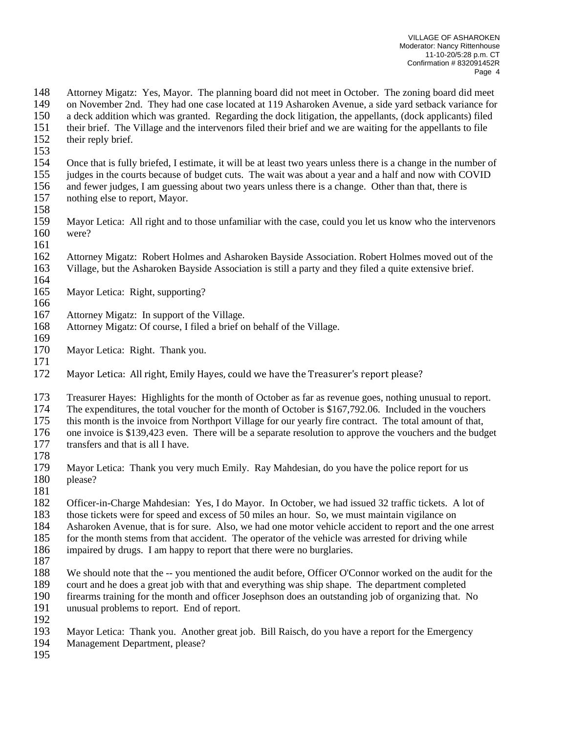Attorney Migatz: Yes, Mayor. The planning board did not meet in October. The zoning board did meet on November 2nd. They had one case located at 119 Asharoken Avenue, a side yard setback variance for a deck addition which was granted. Regarding the dock litigation, the appellants, (dock applicants) filed their brief. The Village and the intervenors filed their brief and we are waiting for the appellants to file 152 their reply brief. Once that is fully briefed, I estimate, it will be at least two years unless there is a change in the number of judges in the courts because of budget cuts. The wait was about a year and a half and now with COVID and fewer judges, I am guessing about two years unless there is a change. Other than that, there is nothing else to report, Mayor. Mayor Letica: All right and to those unfamiliar with the case, could you let us know who the intervenors were? Attorney Migatz: Robert Holmes and Asharoken Bayside Association. Robert Holmes moved out of the Village, but the Asharoken Bayside Association is still a party and they filed a quite extensive brief. Mayor Letica: Right, supporting? Attorney Migatz: In support of the Village. Attorney Migatz: Of course, I filed a brief on behalf of the Village. 

- Mayor Letica: Right. Thank you.
- Mayor Letica: All right, Emily Hayes, could we have the Treasurer's report please?
- Treasurer Hayes: Highlights for the month of October as far as revenue goes, nothing unusual to report.
- The expenditures, the total voucher for the month of October is \$167,792.06. Included in the vouchers
- this month is the invoice from Northport Village for our yearly fire contract. The total amount of that,
- 176 one invoice is \$139,423 even. There will be a separate resolution to approve the vouchers and the budget transfers and that is all I have.
- transfers and that is all I have.
- 
- Mayor Letica: Thank you very much Emily. Ray Mahdesian, do you have the police report for us please?
- 
- Officer-in-Charge Mahdesian: Yes, I do Mayor. In October, we had issued 32 traffic tickets. A lot of
- those tickets were for speed and excess of 50 miles an hour. So, we must maintain vigilance on
- Asharoken Avenue, that is for sure. Also, we had one motor vehicle accident to report and the one arrest
- 185 for the month stems from that accident. The operator of the vehicle was arrested for driving while
- impaired by drugs. I am happy to report that there were no burglaries.
- 
- We should note that the -- you mentioned the audit before, Officer O'Connor worked on the audit for the
- 189 court and he does a great job with that and everything was ship shape. The department completed firearms training for the month and officer Josephson does an outstanding job of organizing that. firearms training for the month and officer Josephson does an outstanding job of organizing that. No
- unusual problems to report. End of report.
- 
- 192<br>193 Mayor Letica: Thank you. Another great job. Bill Raisch, do you have a report for the Emergency

Management Department, please?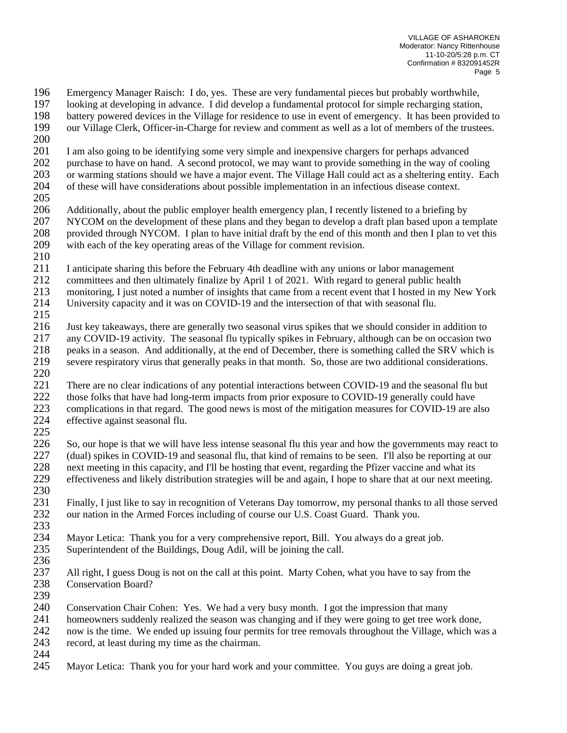196 Emergency Manager Raisch: I do, yes. These are very fundamental pieces but probably worthwhile,<br>197 Iooking at developing in advance. I did develop a fundamental protocol for simple recharging station.

- looking at developing in advance. I did develop a fundamental protocol for simple recharging station,
- 198 battery powered devices in the Village for residence to use in event of emergency. It has been provided to our Village Clerk, Officer-in-Charge for review and comment as well as a lot of members of the trustees.
- our Village Clerk, Officer-in-Charge for review and comment as well as a lot of members of the trustees.
- I am also going to be identifying some very simple and inexpensive chargers for perhaps advanced
- purchase to have on hand. A second protocol, we may want to provide something in the way of cooling
- or warming stations should we have a major event. The Village Hall could act as a sheltering entity. Each of these will have considerations about possible implementation in an infectious disease context.
- 
- Additionally, about the public employer health emergency plan, I recently listened to a briefing by NYCOM on the development of these plans and they began to develop a draft plan based upon a template 208 provided through NYCOM. I plan to have initial draft by the end of this month and then I plan to vet this with each of the key operating areas of the Village for comment revision. with each of the key operating areas of the Village for comment revision.
- 
- I anticipate sharing this before the February 4th deadline with any unions or labor management
- committees and then ultimately finalize by April 1 of 2021. With regard to general public health
- monitoring, I just noted a number of insights that came from a recent event that I hosted in my New York
- University capacity and it was on COVID-19 and the intersection of that with seasonal flu.
- $\frac{215}{216}$  Just key takeaways, there are generally two seasonal virus spikes that we should consider in addition to any COVID-19 activity. The seasonal flu typically spikes in February, although can be on occasion two 218 peaks in a season. And additionally, at the end of December, there is something called the SRV which is severe respiratory virus that generally peaks in that month. So, those are two additional considerations. severe respiratory virus that generally peaks in that month. So, those are two additional considerations.
- 221 There are no clear indications of any potential interactions between COVID-19 and the seasonal flu but those folks that have had long-term impacts from prior exposure to COVID-19 generally could have those folks that have had long-term impacts from prior exposure to COVID-19 generally could have complications in that regard. The good news is most of the mitigation measures for COVID-19 are also effective against seasonal flu.
- 
- So, our hope is that we will have less intense seasonal flu this year and how the governments may react to (dual) spikes in COVID-19 and seasonal flu, that kind of remains to be seen. I'll also be reporting at our 228 next meeting in this capacity, and I'll be hosting that event, regarding the Pfizer vaccine and what its effectiveness and likely distribution strategies will be and again, I hope to share that at our next meet effectiveness and likely distribution strategies will be and again, I hope to share that at our next meeting.
- Finally, I just like to say in recognition of Veterans Day tomorrow, my personal thanks to all those served our nation in the Armed Forces including of course our U.S. Coast Guard. Thank you.
- Mayor Letica: Thank you for a very comprehensive report, Bill. You always do a great job. Superintendent of the Buildings, Doug Adil, will be joining the call.
- All right, I guess Doug is not on the call at this point. Marty Cohen, what you have to say from the Conservation Board?
- 
- Conservation Chair Cohen: Yes. We had a very busy month. I got the impression that many
- homeowners suddenly realized the season was changing and if they were going to get tree work done,
- now is the time. We ended up issuing four permits for tree removals throughout the Village, which was a record, at least during my time as the chairman.
- 
- Mayor Letica: Thank you for your hard work and your committee. You guys are doing a great job.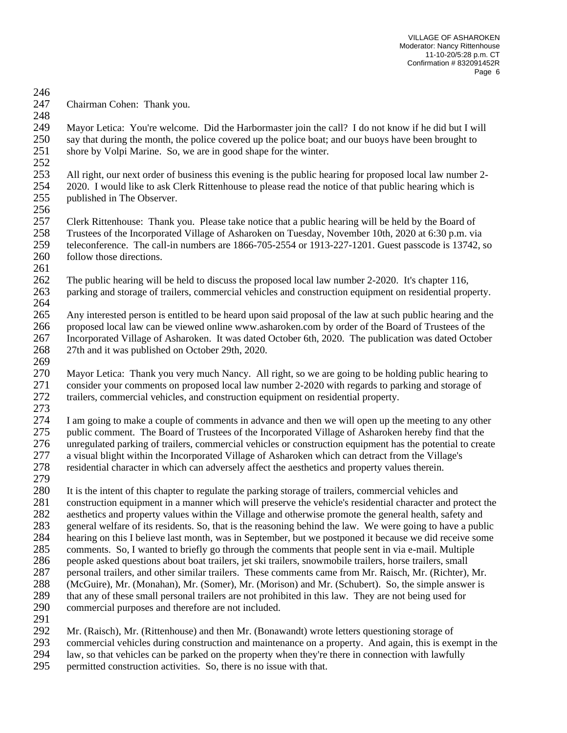VILLAGE OF ASHAROKEN Moderator: Nancy Rittenhouse 11-10-20/5:28 p.m. CT Confirmation # 832091452R Page 6

Chairman Cohen: Thank you.

 Mayor Letica: You're welcome. Did the Harbormaster join the call? I do not know if he did but I will say that during the month, the police covered up the police boat; and our buoys have been brought to shore by Volpi Marine. So, we are in good shape for the winter. 

 All right, our next order of business this evening is the public hearing for proposed local law number 2- 2020. I would like to ask Clerk Rittenhouse to please read the notice of that public hearing which is published in The Observer.

 Clerk Rittenhouse: Thank you. Please take notice that a public hearing will be held by the Board of Trustees of the Incorporated Village of Asharoken on Tuesday, November 10th, 2020 at 6:30 p.m. via teleconference. The call-in numbers are 1866-705-2554 or 1913-227-1201. Guest passcode is 13742, so 260 follow those directions.

 The public hearing will be held to discuss the proposed local law number 2-2020. It's chapter 116, parking and storage of trailers, commercial vehicles and construction equipment on residential property. 

 Any interested person is entitled to be heard upon said proposal of the law at such public hearing and the proposed local law can be viewed online www.asharoken.com by order of the Board of Trustees of the Incorporated Village of Asharoken. It was dated October 6th, 2020. The publication was dated October 27th and it was published on October 29th, 2020. 

 Mayor Letica: Thank you very much Nancy. All right, so we are going to be holding public hearing to consider your comments on proposed local law number 2-2020 with regards to parking and storage of trailers, commercial vehicles, and construction equipment on residential property.

 I am going to make a couple of comments in advance and then we will open up the meeting to any other public comment. The Board of Trustees of the Incorporated Village of Asharoken hereby find that the unregulated parking of trailers, commercial vehicles or construction equipment has the potential to create a visual blight within the Incorporated Village of Asharoken which can detract from the Village's residential character in which can adversely affect the aesthetics and property values therein.

 It is the intent of this chapter to regulate the parking storage of trailers, commercial vehicles and construction equipment in a manner which will preserve the vehicle's residential character and protect the aesthetics and property values within the Village and otherwise promote the general health, safety and general welfare of its residents. So, that is the reasoning behind the law. We were going to have a public hearing on this I believe last month, was in September, but we postponed it because we did receive some comments. So, I wanted to briefly go through the comments that people sent in via e-mail. Multiple people asked questions about boat trailers, jet ski trailers, snowmobile trailers, horse trailers, small personal trailers, and other similar trailers. These comments came from Mr. Raisch, Mr. (Richter), Mr. (McGuire), Mr. (Monahan), Mr. (Somer), Mr. (Morison) and Mr. (Schubert). So, the simple answer is that any of these small personal trailers are not prohibited in this law. They are not being used for commercial purposes and therefore are not included.

Mr. (Raisch), Mr. (Rittenhouse) and then Mr. (Bonawandt) wrote letters questioning storage of

293 commercial vehicles during construction and maintenance on a property. And again, this is exempt in the law, so that vehicles can be parked on the property when they're there in connection with lawfully

law, so that vehicles can be parked on the property when they're there in connection with lawfully

permitted construction activities. So, there is no issue with that.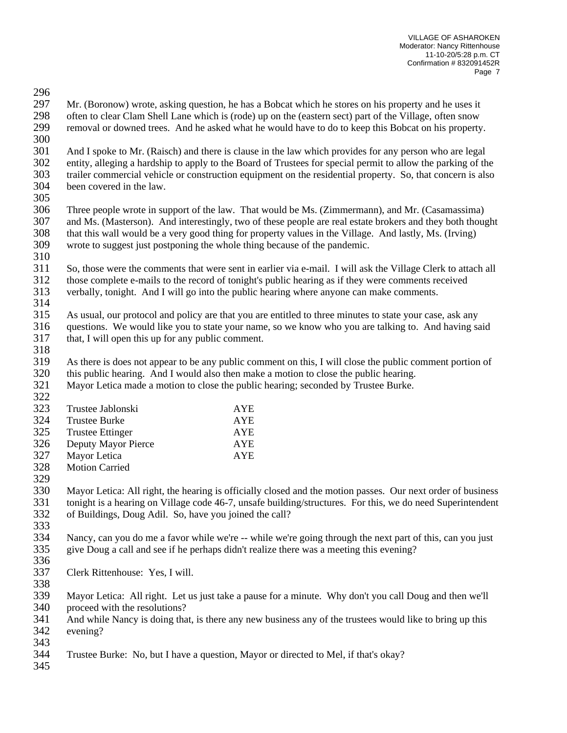296<br>297

Mr. (Boronow) wrote, asking question, he has a Bobcat which he stores on his property and he uses it 298 often to clear Clam Shell Lane which is (rode) up on the (eastern sect) part of the Village, often snow<br>299 removal or downed trees. And he asked what he would have to do to keep this Bobcat on his property removal or downed trees. And he asked what he would have to do to keep this Bobcat on his property.

 And I spoke to Mr. (Raisch) and there is clause in the law which provides for any person who are legal entity, alleging a hardship to apply to the Board of Trustees for special permit to allow the parking of the trailer commercial vehicle or construction equipment on the residential property. So, that concern is also been covered in the law.

305<br>306

Three people wrote in support of the law. That would be Ms. (Zimmermann), and Mr. (Casamassima) and Ms. (Masterson). And interestingly, two of these people are real estate brokers and they both thought 308 that this wall would be a very good thing for property values in the Village. And lastly, Ms. (Irving) wrote to suggest just postponing the whole thing because of the pandemic. wrote to suggest just postponing the whole thing because of the pandemic.

 So, those were the comments that were sent in earlier via e-mail. I will ask the Village Clerk to attach all those complete e-mails to the record of tonight's public hearing as if they were comments received verbally, tonight. And I will go into the public hearing where anyone can make comments.

315 As usual, our protocol and policy are that you are entitled to three minutes to state your case, ask any questions. We would like you to state your name, so we know who you are talking to. And having say questions. We would like you to state your name, so we know who you are talking to. And having said that, I will open this up for any public comment.

318<br>319

As there is does not appear to be any public comment on this, I will close the public comment portion of this public hearing. And I would also then make a motion to close the public hearing.

 Mayor Letica made a motion to close the public hearing; seconded by Trustee Burke. 

| Trustee Jablonski       | <b>AYE</b> |
|-------------------------|------------|
| <b>Trustee Burke</b>    | <b>AYE</b> |
| <b>Trustee Ettinger</b> | <b>AYE</b> |
| Deputy Mayor Pierce     | <b>AYE</b> |
| Mayor Letica            | <b>AYE</b> |
| <b>Motion Carried</b>   |            |
|                         |            |

329<br>330 Mayor Letica: All right, the hearing is officially closed and the motion passes. Our next order of business tonight is a hearing on Village code 46-7, unsafe building/structures. For this, we do need Superintendent of Buildings, Doug Adil. So, have you joined the call? 

 Nancy, can you do me a favor while we're -- while we're going through the next part of this, can you just give Doug a call and see if he perhaps didn't realize there was a meeting this evening?

- 
- Clerk Rittenhouse: Yes, I will.
- 

 Mayor Letica: All right. Let us just take a pause for a minute. Why don't you call Doug and then we'll proceed with the resolutions?

 And while Nancy is doing that, is there any new business any of the trustees would like to bring up this evening?

Trustee Burke: No, but I have a question, Mayor or directed to Mel, if that's okay?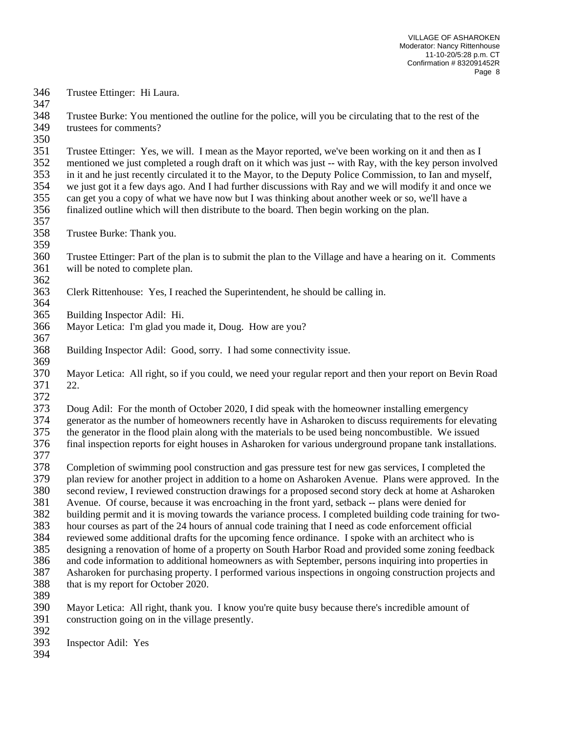Trustee Ettinger: Hi Laura.

 Trustee Burke: You mentioned the outline for the police, will you be circulating that to the rest of the trustees for comments?

 Trustee Ettinger: Yes, we will. I mean as the Mayor reported, we've been working on it and then as I mentioned we just completed a rough draft on it which was just -- with Ray, with the key person involved in it and he just recently circulated it to the Mayor, to the Deputy Police Commission, to Ian and myself, we just got it a few days ago. And I had further discussions with Ray and we will modify it and once we 355 can get you a copy of what we have now but I was thinking about another week or so, we'll have a<br>356 finalized outline which will then distribute to the board. Then begin working on the plan.

 finalized outline which will then distribute to the board. Then begin working on the plan. 

- Trustee Burke: Thank you.
- 

 Trustee Ettinger: Part of the plan is to submit the plan to the Village and have a hearing on it. Comments will be noted to complete plan. 

- Clerk Rittenhouse: Yes, I reached the Superintendent, he should be calling in.
- Building Inspector Adil: Hi.
- Mayor Letica: I'm glad you made it, Doug. How are you?
- 

Building Inspector Adil: Good, sorry. I had some connectivity issue.

369<br>370 Mayor Letica: All right, so if you could, we need your regular report and then your report on Bevin Road 22.

Doug Adil: For the month of October 2020, I did speak with the homeowner installing emergency

 generator as the number of homeowners recently have in Asharoken to discuss requirements for elevating the generator in the flood plain along with the materials to be used being noncombustible. We issued

final inspection reports for eight houses in Asharoken for various underground propane tank installations.

378 Completion of swimming pool construction and gas pressure test for new gas services, I completed the plan review for another project in addition to a home on Asharoken Avenue. Plans were approved. In plan review for another project in addition to a home on Asharoken Avenue. Plans were approved. In the second review, I reviewed construction drawings for a proposed second story deck at home at Asharoken Avenue. Of course, because it was encroaching in the front yard, setback -- plans were denied for

building permit and it is moving towards the variance process. I completed building code training for two-

hour courses as part of the 24 hours of annual code training that I need as code enforcement official

reviewed some additional drafts for the upcoming fence ordinance. I spoke with an architect who is

designing a renovation of home of a property on South Harbor Road and provided some zoning feedback

 and code information to additional homeowners as with September, persons inquiring into properties in Asharoken for purchasing property. I performed various inspections in ongoing construction projects and

- that is my report for October 2020.
- 

 Mayor Letica: All right, thank you. I know you're quite busy because there's incredible amount of construction going on in the village presently.

Inspector Adil: Yes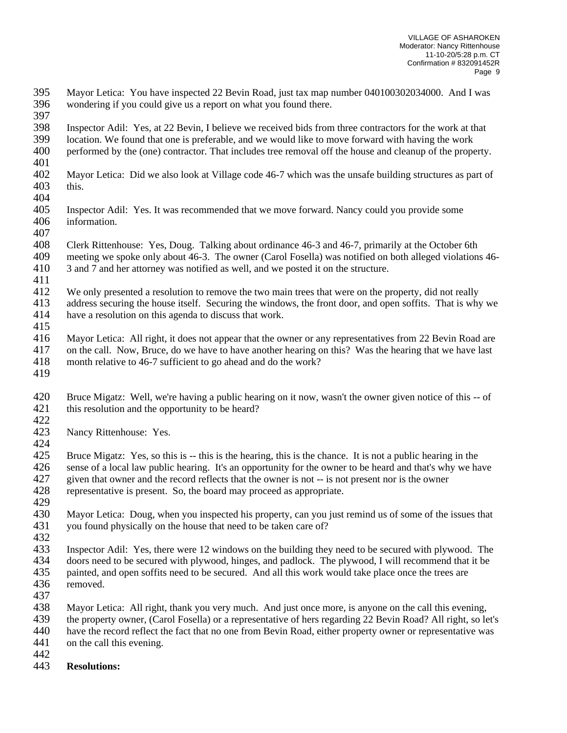- Mayor Letica: You have inspected 22 Bevin Road, just tax map number 040100302034000. And I was wondering if you could give us a report on what you found there.
- Inspector Adil: Yes, at 22 Bevin, I believe we received bids from three contractors for the work at that location. We found that one is preferable, and we would like to move forward with having the work
- performed by the (one) contractor. That includes tree removal off the house and cleanup of the property.
- 
- Mayor Letica: Did we also look at Village code 46-7 which was the unsafe building structures as part of this.
- 
- Inspector Adil: Yes. It was recommended that we move forward. Nancy could you provide some information.
- Clerk Rittenhouse: Yes, Doug. Talking about ordinance 46-3 and 46-7, primarily at the October 6th meeting we spoke only about 46-3. The owner (Carol Fosella) was notified on both alleged violations 46-
- 3 and 7 and her attorney was notified as well, and we posted it on the structure.
- 
- We only presented a resolution to remove the two main trees that were on the property, did not really address securing the house itself. Securing the windows, the front door, and open soffits. That is why we
- have a resolution on this agenda to discuss that work.
- Mayor Letica: All right, it does not appear that the owner or any representatives from 22 Bevin Road are on the call. Now, Bruce, do we have to have another hearing on this? Was the hearing that we have last
- month relative to 46-7 sufficient to go ahead and do the work?
- 
- Bruce Migatz: Well, we're having a public hearing on it now, wasn't the owner given notice of this -- of this resolution and the opportunity to be heard?
- 
- Nancy Rittenhouse: Yes.
- 

 Bruce Migatz: Yes, so this is -- this is the hearing, this is the chance. It is not a public hearing in the 426 sense of a local law public hearing. It's an opportunity for the owner to be heard and that's why we have given that owner and the record reflects that the owner is not -- is not present nor is the owner given that owner and the record reflects that the owner is not -- is not present nor is the owner

- representative is present. So, the board may proceed as appropriate.
- Mayor Letica: Doug, when you inspected his property, can you just remind us of some of the issues that you found physically on the house that need to be taken care of?
- 
- Inspector Adil: Yes, there were 12 windows on the building they need to be secured with plywood. The doors need to be secured with plywood, hinges, and padlock. The plywood, I will recommend that it be painted, and open soffits need to be secured. And all this work would take place once the trees are removed.
- 
- Mayor Letica: All right, thank you very much. And just once more, is anyone on the call this evening, the property owner, (Carol Fosella) or a representative of hers regarding 22 Bevin Road? All right, so let's have the record reflect the fact that no one from Bevin Road, either property owner or representative was
- on the call this evening.
- 
- **Resolutions:**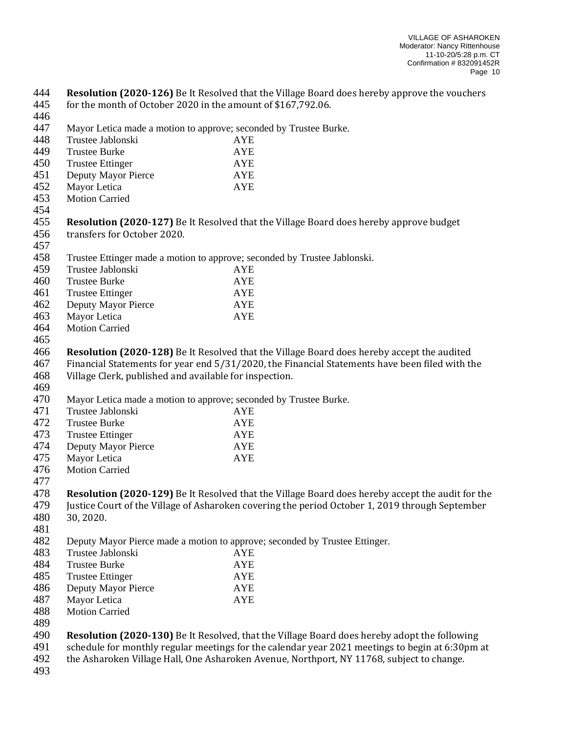**Resolution (2020-126)** Be It Resolved that the Village Board does hereby approve the vouchers for the month of October 2020 in the amount of \$167,792.06. Mayor Letica made a motion to approve; seconded by Trustee Burke. Trustee Jablonski AYE Trustee Burke AYE Trustee Ettinger AYE Deputy Mayor Pierce AYE Mayor Letica AYE Motion Carried **Resolution (2020-127)** Be It Resolved that the Village Board does hereby approve budget transfers for October 2020. Trustee Ettinger made a motion to approve; seconded by Trustee Jablonski. Trustee Jablonski AYE Trustee Burke AYE Trustee Ettinger AYE Deputy Mayor Pierce AYE Mayor Letica AYE Motion Carried **Resolution (2020-128)** Be It Resolved that the Village Board does hereby accept the audited Financial Statements for year end 5/31/2020, the Financial Statements have been filed with the Village Clerk, published and available for inspection. Mayor Letica made a motion to approve; seconded by Trustee Burke. Trustee Jablonski AYE Trustee Burke AYE 473 Trustee Ettinger AYE<br>474 Deputy Mayor Pierce AYE Deputy Mayor Pierce AYE Mayor Letica AYE Motion Carried **Resolution (2020-129)** Be It Resolved that the Village Board does hereby accept the audit for the Justice Court of the Village of Asharoken covering the period October 1, 2019 through September 30, 2020. Deputy Mayor Pierce made a motion to approve; seconded by Trustee Ettinger. Trustee Jablonski AYE Trustee Burke AYE Trustee Ettinger AYE Deputy Mayor Pierce AYE Mayor Letica AYE Motion Carried **Resolution (2020-130)** Be It Resolved, that the Village Board does hereby adopt the following schedule for monthly regular meetings for the calendar year 2021 meetings to begin at 6:30pm at the Asharoken Village Hall, One Asharoken Avenue, Northport, NY 11768, subject to change.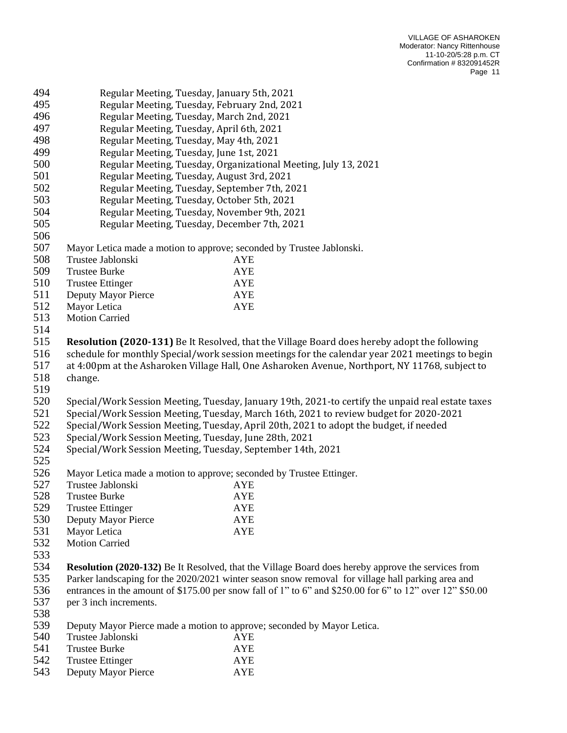| 494 |                                                                                                           | Regular Meeting, Tuesday, January 5th, 2021                                                       |  |  |  |
|-----|-----------------------------------------------------------------------------------------------------------|---------------------------------------------------------------------------------------------------|--|--|--|
| 495 | Regular Meeting, Tuesday, February 2nd, 2021                                                              |                                                                                                   |  |  |  |
| 496 | Regular Meeting, Tuesday, March 2nd, 2021                                                                 |                                                                                                   |  |  |  |
| 497 | Regular Meeting, Tuesday, April 6th, 2021                                                                 |                                                                                                   |  |  |  |
| 498 | Regular Meeting, Tuesday, May 4th, 2021                                                                   |                                                                                                   |  |  |  |
| 499 | Regular Meeting, Tuesday, June 1st, 2021                                                                  |                                                                                                   |  |  |  |
| 500 | Regular Meeting, Tuesday, Organizational Meeting, July 13, 2021                                           |                                                                                                   |  |  |  |
| 501 | Regular Meeting, Tuesday, August 3rd, 2021                                                                |                                                                                                   |  |  |  |
| 502 | Regular Meeting, Tuesday, September 7th, 2021                                                             |                                                                                                   |  |  |  |
| 503 | Regular Meeting, Tuesday, October 5th, 2021                                                               |                                                                                                   |  |  |  |
| 504 | Regular Meeting, Tuesday, November 9th, 2021                                                              |                                                                                                   |  |  |  |
| 505 |                                                                                                           | Regular Meeting, Tuesday, December 7th, 2021                                                      |  |  |  |
| 506 |                                                                                                           |                                                                                                   |  |  |  |
| 507 |                                                                                                           | Mayor Letica made a motion to approve; seconded by Trustee Jablonski.                             |  |  |  |
| 508 | Trustee Jablonski                                                                                         | <b>AYE</b>                                                                                        |  |  |  |
| 509 | <b>Trustee Burke</b>                                                                                      | <b>AYE</b>                                                                                        |  |  |  |
| 510 | <b>Trustee Ettinger</b>                                                                                   | <b>AYE</b>                                                                                        |  |  |  |
| 511 | Deputy Mayor Pierce                                                                                       | <b>AYE</b>                                                                                        |  |  |  |
| 512 | Mayor Letica                                                                                              | <b>AYE</b>                                                                                        |  |  |  |
| 513 | <b>Motion Carried</b>                                                                                     |                                                                                                   |  |  |  |
| 514 |                                                                                                           |                                                                                                   |  |  |  |
| 515 |                                                                                                           | Resolution (2020-131) Be It Resolved, that the Village Board does hereby adopt the following      |  |  |  |
| 516 |                                                                                                           | schedule for monthly Special/work session meetings for the calendar year 2021 meetings to begin   |  |  |  |
| 517 | at 4:00pm at the Asharoken Village Hall, One Asharoken Avenue, Northport, NY 11768, subject to            |                                                                                                   |  |  |  |
| 518 | change.                                                                                                   |                                                                                                   |  |  |  |
| 519 |                                                                                                           |                                                                                                   |  |  |  |
| 520 |                                                                                                           | Special/Work Session Meeting, Tuesday, January 19th, 2021-to certify the unpaid real estate taxes |  |  |  |
| 521 | Special/Work Session Meeting, Tuesday, March 16th, 2021 to review budget for 2020-2021                    |                                                                                                   |  |  |  |
| 522 | Special/Work Session Meeting, Tuesday, April 20th, 2021 to adopt the budget, if needed                    |                                                                                                   |  |  |  |
| 523 | Special/Work Session Meeting, Tuesday, June 28th, 2021                                                    |                                                                                                   |  |  |  |
| 524 |                                                                                                           | Special/Work Session Meeting, Tuesday, September 14th, 2021                                       |  |  |  |
| 525 |                                                                                                           |                                                                                                   |  |  |  |
| 526 |                                                                                                           | Mayor Letica made a motion to approve; seconded by Trustee Ettinger.                              |  |  |  |
| 527 | Trustee Jablonski                                                                                         | <b>AYE</b>                                                                                        |  |  |  |
| 528 | <b>Trustee Burke</b>                                                                                      | <b>AYE</b>                                                                                        |  |  |  |
| 529 | <b>Trustee Ettinger</b>                                                                                   | <b>AYE</b>                                                                                        |  |  |  |
| 530 | Deputy Mayor Pierce                                                                                       | <b>AYE</b>                                                                                        |  |  |  |
| 531 | Mayor Letica                                                                                              | <b>AYE</b>                                                                                        |  |  |  |
| 532 | <b>Motion Carried</b>                                                                                     |                                                                                                   |  |  |  |
| 533 |                                                                                                           |                                                                                                   |  |  |  |
| 534 | <b>Resolution (2020-132)</b> Be It Resolved, that the Village Board does hereby approve the services from |                                                                                                   |  |  |  |
| 535 |                                                                                                           | Parker landscaping for the 2020/2021 winter season snow removal for village hall parking area and |  |  |  |
| 536 | entrances in the amount of \$175.00 per snow fall of 1" to 6" and \$250.00 for 6" to 12" over 12" \$50.00 |                                                                                                   |  |  |  |
| 537 | per 3 inch increments.                                                                                    |                                                                                                   |  |  |  |
| 538 |                                                                                                           |                                                                                                   |  |  |  |
| 539 | Deputy Mayor Pierce made a motion to approve; seconded by Mayor Letica.                                   |                                                                                                   |  |  |  |
| 540 | Trustee Jablonski                                                                                         | <b>AYE</b>                                                                                        |  |  |  |
| 541 | <b>Trustee Burke</b>                                                                                      | <b>AYE</b>                                                                                        |  |  |  |
| 542 | <b>Trustee Ettinger</b>                                                                                   | <b>AYE</b>                                                                                        |  |  |  |
| 543 | Deputy Mayor Pierce                                                                                       | <b>AYE</b>                                                                                        |  |  |  |
|     |                                                                                                           |                                                                                                   |  |  |  |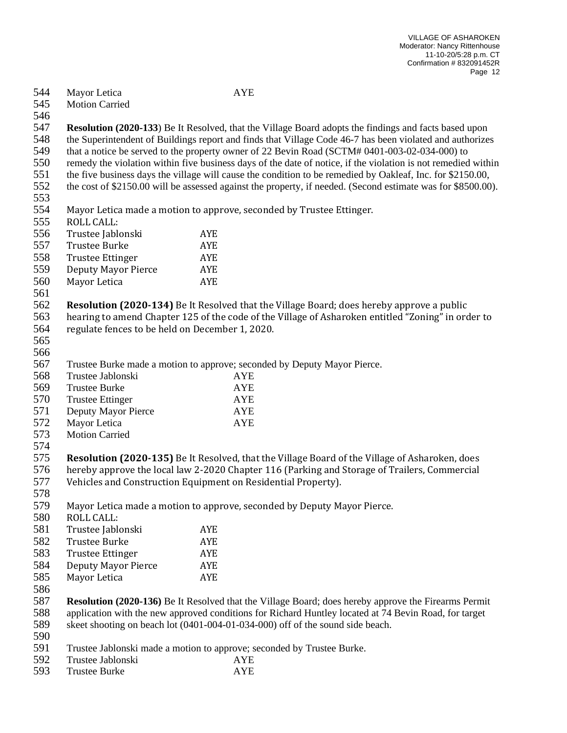| 544 | Mayor Letica                                                                                                 | <b>AYE</b>                                                                                                    |  |  |  |
|-----|--------------------------------------------------------------------------------------------------------------|---------------------------------------------------------------------------------------------------------------|--|--|--|
| 545 | <b>Motion Carried</b>                                                                                        |                                                                                                               |  |  |  |
| 546 |                                                                                                              |                                                                                                               |  |  |  |
| 547 |                                                                                                              | <b>Resolution (2020-133)</b> Be It Resolved, that the Village Board adopts the findings and facts based upon  |  |  |  |
| 548 | the Superintendent of Buildings report and finds that Village Code 46-7 has been violated and authorizes     |                                                                                                               |  |  |  |
| 549 | that a notice be served to the property owner of 22 Bevin Road (SCTM# 0401-003-02-034-000) to                |                                                                                                               |  |  |  |
| 550 |                                                                                                              | remedy the violation within five business days of the date of notice, if the violation is not remedied within |  |  |  |
| 551 |                                                                                                              | the five business days the village will cause the condition to be remedied by Oakleaf, Inc. for \$2150.00,    |  |  |  |
| 552 | the cost of \$2150.00 will be assessed against the property, if needed. (Second estimate was for \$8500.00). |                                                                                                               |  |  |  |
| 553 |                                                                                                              |                                                                                                               |  |  |  |
| 554 |                                                                                                              | Mayor Letica made a motion to approve, seconded by Trustee Ettinger.                                          |  |  |  |
| 555 | <b>ROLL CALL:</b>                                                                                            |                                                                                                               |  |  |  |
| 556 | Trustee Jablonski                                                                                            | <b>AYE</b>                                                                                                    |  |  |  |
| 557 | <b>Trustee Burke</b>                                                                                         | <b>AYE</b>                                                                                                    |  |  |  |
| 558 | <b>Trustee Ettinger</b>                                                                                      | <b>AYE</b>                                                                                                    |  |  |  |
| 559 | <b>Deputy Mayor Pierce</b>                                                                                   | <b>AYE</b>                                                                                                    |  |  |  |
| 560 | Mayor Letica                                                                                                 | <b>AYE</b>                                                                                                    |  |  |  |
| 561 |                                                                                                              |                                                                                                               |  |  |  |
| 562 |                                                                                                              | <b>Resolution (2020-134)</b> Be It Resolved that the Village Board; does hereby approve a public              |  |  |  |
| 563 |                                                                                                              | hearing to amend Chapter 125 of the code of the Village of Asharoken entitled "Zoning" in order to            |  |  |  |
| 564 | regulate fences to be held on December 1, 2020.                                                              |                                                                                                               |  |  |  |
| 565 |                                                                                                              |                                                                                                               |  |  |  |
| 566 |                                                                                                              |                                                                                                               |  |  |  |
| 567 |                                                                                                              | Trustee Burke made a motion to approve; seconded by Deputy Mayor Pierce.                                      |  |  |  |
| 568 | Trustee Jablonski                                                                                            | <b>AYE</b>                                                                                                    |  |  |  |
| 569 | <b>Trustee Burke</b>                                                                                         | <b>AYE</b>                                                                                                    |  |  |  |
| 570 | <b>Trustee Ettinger</b>                                                                                      | <b>AYE</b>                                                                                                    |  |  |  |
| 571 | Deputy Mayor Pierce                                                                                          | <b>AYE</b>                                                                                                    |  |  |  |
| 572 | Mayor Letica                                                                                                 | <b>AYE</b>                                                                                                    |  |  |  |
| 573 | <b>Motion Carried</b>                                                                                        |                                                                                                               |  |  |  |
| 574 |                                                                                                              |                                                                                                               |  |  |  |
| 575 |                                                                                                              | Resolution (2020-135) Be It Resolved, that the Village Board of the Village of Asharoken, does                |  |  |  |
| 576 |                                                                                                              | hereby approve the local law 2-2020 Chapter 116 (Parking and Storage of Trailers, Commercial                  |  |  |  |
| 577 |                                                                                                              | Vehicles and Construction Equipment on Residential Property).                                                 |  |  |  |
| 578 |                                                                                                              |                                                                                                               |  |  |  |
| 579 |                                                                                                              | Mayor Letica made a motion to approve, seconded by Deputy Mayor Pierce.                                       |  |  |  |
| 580 | <b>ROLL CALL:</b>                                                                                            |                                                                                                               |  |  |  |
| 581 | Trustee Jablonski                                                                                            | AYE                                                                                                           |  |  |  |
| 582 | <b>Trustee Burke</b>                                                                                         | <b>AYE</b>                                                                                                    |  |  |  |
| 583 | <b>Trustee Ettinger</b>                                                                                      | <b>AYE</b>                                                                                                    |  |  |  |
| 584 | <b>Deputy Mayor Pierce</b>                                                                                   | AYE                                                                                                           |  |  |  |
| 585 | Mayor Letica                                                                                                 | <b>AYE</b>                                                                                                    |  |  |  |
| 586 |                                                                                                              |                                                                                                               |  |  |  |
| 587 | <b>Resolution (2020-136)</b> Be It Resolved that the Village Board; does hereby approve the Firearms Permit  |                                                                                                               |  |  |  |
| 588 | application with the new approved conditions for Richard Huntley located at 74 Bevin Road, for target        |                                                                                                               |  |  |  |
| 589 | skeet shooting on beach lot (0401-004-01-034-000) off of the sound side beach.                               |                                                                                                               |  |  |  |
| 590 |                                                                                                              |                                                                                                               |  |  |  |
| 591 |                                                                                                              | Trustee Jablonski made a motion to approve; seconded by Trustee Burke.                                        |  |  |  |
| 592 | Trustee Jablonski                                                                                            | <b>AYE</b>                                                                                                    |  |  |  |
| 593 | <b>Trustee Burke</b>                                                                                         | <b>AYE</b>                                                                                                    |  |  |  |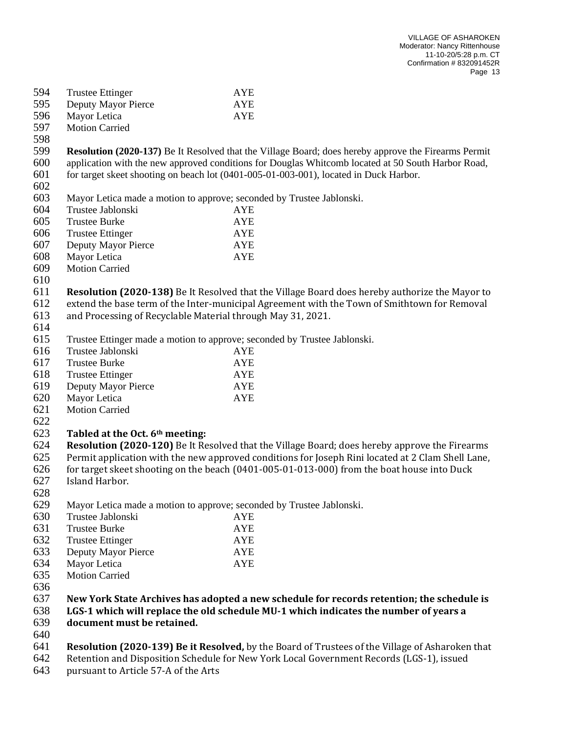| 594 | <b>Trustee Ettinger</b>                                                                   | <b>AYE</b>                                                                                                  |  |  |
|-----|-------------------------------------------------------------------------------------------|-------------------------------------------------------------------------------------------------------------|--|--|
| 595 | Deputy Mayor Pierce                                                                       | <b>AYE</b>                                                                                                  |  |  |
| 596 | Mayor Letica                                                                              | <b>AYE</b>                                                                                                  |  |  |
| 597 | <b>Motion Carried</b>                                                                     |                                                                                                             |  |  |
| 598 |                                                                                           |                                                                                                             |  |  |
| 599 |                                                                                           | <b>Resolution (2020-137)</b> Be It Resolved that the Village Board; does hereby approve the Firearms Permit |  |  |
| 600 |                                                                                           | application with the new approved conditions for Douglas Whitcomb located at 50 South Harbor Road,          |  |  |
| 601 |                                                                                           | for target skeet shooting on beach lot (0401-005-01-003-001), located in Duck Harbor.                       |  |  |
| 602 |                                                                                           |                                                                                                             |  |  |
| 603 |                                                                                           | Mayor Letica made a motion to approve; seconded by Trustee Jablonski.                                       |  |  |
| 604 | Trustee Jablonski                                                                         | <b>AYE</b>                                                                                                  |  |  |
| 605 | <b>Trustee Burke</b>                                                                      | <b>AYE</b>                                                                                                  |  |  |
| 606 | <b>Trustee Ettinger</b>                                                                   | <b>AYE</b>                                                                                                  |  |  |
| 607 | Deputy Mayor Pierce                                                                       | <b>AYE</b>                                                                                                  |  |  |
| 608 | Mayor Letica                                                                              | <b>AYE</b>                                                                                                  |  |  |
| 609 | <b>Motion Carried</b>                                                                     |                                                                                                             |  |  |
| 610 |                                                                                           |                                                                                                             |  |  |
| 611 |                                                                                           | Resolution (2020-138) Be It Resolved that the Village Board does hereby authorize the Mayor to              |  |  |
| 612 |                                                                                           | extend the base term of the Inter-municipal Agreement with the Town of Smithtown for Removal                |  |  |
| 613 |                                                                                           | and Processing of Recyclable Material through May 31, 2021.                                                 |  |  |
| 614 |                                                                                           |                                                                                                             |  |  |
| 615 |                                                                                           | Trustee Ettinger made a motion to approve; seconded by Trustee Jablonski.                                   |  |  |
| 616 | Trustee Jablonski                                                                         | <b>AYE</b>                                                                                                  |  |  |
| 617 | <b>Trustee Burke</b>                                                                      | <b>AYE</b>                                                                                                  |  |  |
| 618 | <b>Trustee Ettinger</b>                                                                   | <b>AYE</b>                                                                                                  |  |  |
| 619 | Deputy Mayor Pierce                                                                       | <b>AYE</b>                                                                                                  |  |  |
| 620 | Mayor Letica                                                                              | <b>AYE</b>                                                                                                  |  |  |
| 621 | <b>Motion Carried</b>                                                                     |                                                                                                             |  |  |
| 622 |                                                                                           |                                                                                                             |  |  |
| 623 | Tabled at the Oct. 6th meeting:                                                           |                                                                                                             |  |  |
| 624 |                                                                                           | Resolution (2020-120) Be It Resolved that the Village Board; does hereby approve the Firearms               |  |  |
| 625 |                                                                                           | Permit application with the new approved conditions for Joseph Rini located at 2 Clam Shell Lane,           |  |  |
| 626 |                                                                                           | for target skeet shooting on the beach (0401-005-01-013-000) from the boat house into Duck                  |  |  |
| 627 | Island Harbor.                                                                            |                                                                                                             |  |  |
| 628 |                                                                                           |                                                                                                             |  |  |
| 629 |                                                                                           | Mayor Letica made a motion to approve; seconded by Trustee Jablonski.                                       |  |  |
| 630 | Trustee Jablonski                                                                         | <b>AYE</b>                                                                                                  |  |  |
| 631 | <b>Trustee Burke</b>                                                                      | <b>AYE</b>                                                                                                  |  |  |
| 632 | <b>Trustee Ettinger</b>                                                                   | <b>AYE</b>                                                                                                  |  |  |
| 633 | Deputy Mayor Pierce                                                                       | <b>AYE</b>                                                                                                  |  |  |
| 634 | Mayor Letica                                                                              | <b>AYE</b>                                                                                                  |  |  |
| 635 | <b>Motion Carried</b>                                                                     |                                                                                                             |  |  |
| 636 |                                                                                           |                                                                                                             |  |  |
| 637 | New York State Archives has adopted a new schedule for records retention; the schedule is |                                                                                                             |  |  |
| 638 | LGS-1 which will replace the old schedule MU-1 which indicates the number of years a      |                                                                                                             |  |  |
| 639 | document must be retained.                                                                |                                                                                                             |  |  |
| 640 |                                                                                           |                                                                                                             |  |  |
| 641 |                                                                                           | Resolution (2020-139) Be it Resolved, by the Board of Trustees of the Village of Asharoken that             |  |  |
| 642 | Retention and Disposition Schedule for New York Local Government Records (LGS-1), issued  |                                                                                                             |  |  |

pursuant to Article 57-A of the Arts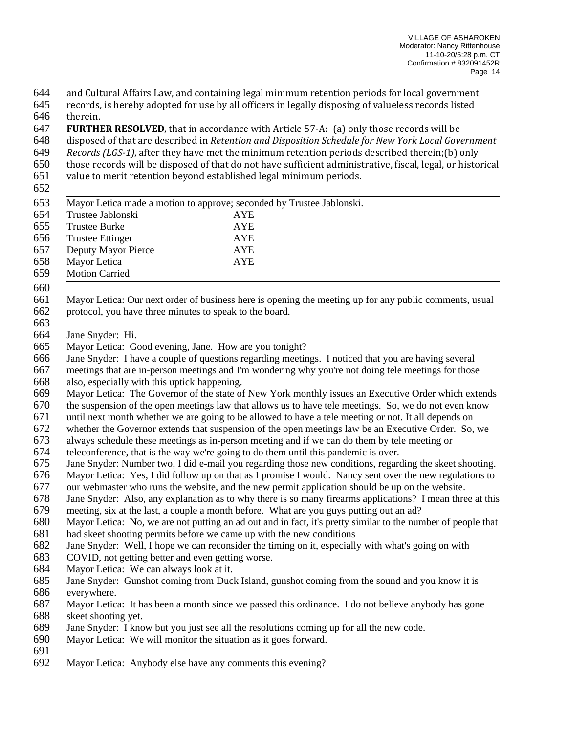and Cultural Affairs Law, and containing legal minimum retention periods for local government

- records, is hereby adopted for use by all officers in legally disposing of valueless records listed therein.
- **FURTHER RESOLVED**, that in accordance with Article 57-A: (a) only those records will be
- disposed of that are described in *Retention and Disposition Schedule for New York Local Government*
- *Records (LGS-1)*, after they have met the minimum retention periods described therein;(b) only
- those records will be disposed of that do not have sufficient administrative, fiscal, legal, or historical
- value to merit retention beyond established legal minimum periods.
- 
- Mayor Letica made a motion to approve; seconded by Trustee Jablonski. Trustee Jablonski AYE Trustee Burke AYE Trustee Ettinger AYE Deputy Mayor Pierce AYE Mayor Letica AYE
- Motion Carried
- 
- Mayor Letica: Our next order of business here is opening the meeting up for any public comments, usual protocol, you have three minutes to speak to the board.
- 
- Jane Snyder: Hi.
- Mayor Letica: Good evening, Jane. How are you tonight?
- Jane Snyder: I have a couple of questions regarding meetings. I noticed that you are having several
- meetings that are in-person meetings and I'm wondering why you're not doing tele meetings for those
- also, especially with this uptick happening.
- Mayor Letica: The Governor of the state of New York monthly issues an Executive Order which extends

the suspension of the open meetings law that allows us to have tele meetings. So, we do not even know

- until next month whether we are going to be allowed to have a tele meeting or not. It all depends on
- whether the Governor extends that suspension of the open meetings law be an Executive Order. So, we
- always schedule these meetings as in-person meeting and if we can do them by tele meeting or
- 674 teleconference, that is the way we're going to do them until this pandemic is over.<br>675 Jane Snyder: Number two, I did e-mail you regarding those new conditions, regard
- Jane Snyder: Number two, I did e-mail you regarding those new conditions, regarding the skeet shooting.
- Mayor Letica: Yes, I did follow up on that as I promise I would. Nancy sent over the new regulations to
- our webmaster who runs the website, and the new permit application should be up on the website.
- Jane Snyder: Also, any explanation as to why there is so many firearms applications? I mean three at this
- meeting, six at the last, a couple a month before. What are you guys putting out an ad?
- Mayor Letica: No, we are not putting an ad out and in fact, it's pretty similar to the number of people that had skeet shooting permits before we came up with the new conditions
- Jane Snyder: Well, I hope we can reconsider the timing on it, especially with what's going on with
- COVID, not getting better and even getting worse.
- Mayor Letica: We can always look at it.
- Jane Snyder: Gunshot coming from Duck Island, gunshot coming from the sound and you know it is everywhere.
- Mayor Letica: It has been a month since we passed this ordinance. I do not believe anybody has gone skeet shooting yet.
- Jane Snyder: I know but you just see all the resolutions coming up for all the new code.
- Mayor Letica: We will monitor the situation as it goes forward.
- 
- Mayor Letica: Anybody else have any comments this evening?